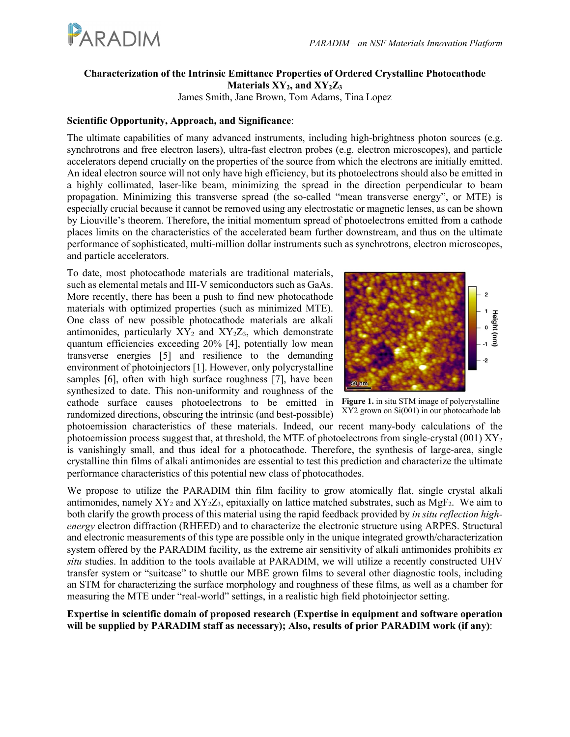

# **Characterization of the Intrinsic Emittance Properties of Ordered Crystalline Photocathode Materials XY2, and XY2Z3**

James Smith, Jane Brown, Tom Adams, Tina Lopez

## **Scientific Opportunity, Approach, and Significance**:

The ultimate capabilities of many advanced instruments, including high-brightness photon sources (e.g. synchrotrons and free electron lasers), ultra-fast electron probes (e.g. electron microscopes), and particle accelerators depend crucially on the properties of the source from which the electrons are initially emitted. An ideal electron source will not only have high efficiency, but its photoelectrons should also be emitted in a highly collimated, laser-like beam, minimizing the spread in the direction perpendicular to beam propagation. Minimizing this transverse spread (the so-called "mean transverse energy", or MTE) is especially crucial because it cannot be removed using any electrostatic or magnetic lenses, as can be shown by Liouville's theorem. Therefore, the initial momentum spread of photoelectrons emitted from a cathode places limits on the characteristics of the accelerated beam further downstream, and thus on the ultimate performance of sophisticated, multi-million dollar instruments such as synchrotrons, electron microscopes, and particle accelerators.

To date, most photocathode materials are traditional materials, such as elemental metals and III-V semiconductors such as GaAs. More recently, there has been a push to find new photocathode materials with optimized properties (such as minimized MTE). One class of new possible photocathode materials are alkali antimonides, particularly  $XY_2$  and  $XY_2Z_3$ , which demonstrate quantum efficiencies exceeding 20% [4], potentially low mean transverse energies [5] and resilience to the demanding environment of photoinjectors [1]. However, only polycrystalline samples [6], often with high surface roughness [7], have been synthesized to date. This non-uniformity and roughness of the cathode surface causes photoelectrons to be emitted in randomized directions, obscuring the intrinsic (and best-possible)



**Figure 1.** in situ STM image of polycrystalline XY2 grown on Si(001) in our photocathode lab

photoemission characteristics of these materials. Indeed, our recent many-body calculations of the photoemission process suggest that, at threshold, the MTE of photoelectrons from single-crystal (001)  $XY_2$ is vanishingly small, and thus ideal for a photocathode. Therefore, the synthesis of large-area, single crystalline thin films of alkali antimonides are essential to test this prediction and characterize the ultimate performance characteristics of this potential new class of photocathodes.

We propose to utilize the PARADIM thin film facility to grow atomically flat, single crystal alkali antimonides, namely  $XY_2$  and  $XY_2Z_3$ , epitaxially on lattice matched substrates, such as  $MgF_2$ . We aim to both clarify the growth process of this material using the rapid feedback provided by *in situ reflection highenergy* electron diffraction (RHEED) and to characterize the electronic structure using ARPES. Structural and electronic measurements of this type are possible only in the unique integrated growth/characterization system offered by the PARADIM facility, as the extreme air sensitivity of alkali antimonides prohibits *ex situ* studies. In addition to the tools available at PARADIM, we will utilize a recently constructed UHV transfer system or "suitcase" to shuttle our MBE grown films to several other diagnostic tools, including an STM for characterizing the surface morphology and roughness of these films, as well as a chamber for measuring the MTE under "real-world" settings, in a realistic high field photoinjector setting.

**Expertise in scientific domain of proposed research (Expertise in equipment and software operation will be supplied by PARADIM staff as necessary); Also, results of prior PARADIM work (if any)**: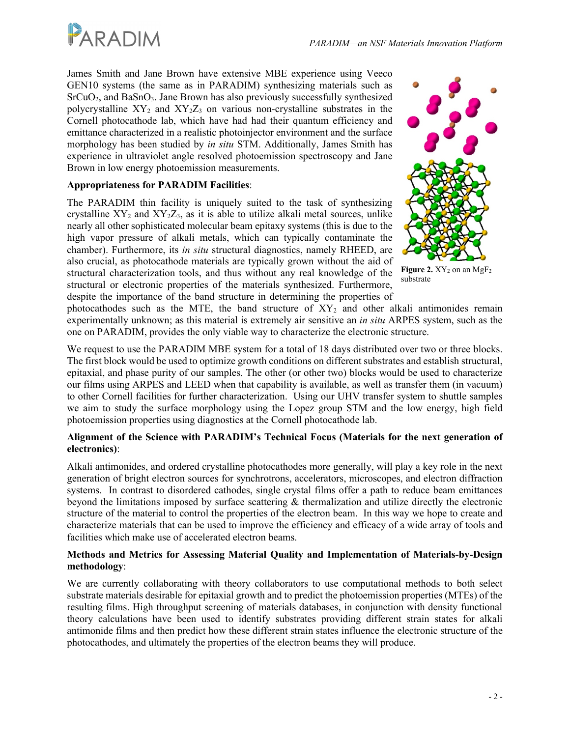

James Smith and Jane Brown have extensive MBE experience using Veeco GEN10 systems (the same as in PARADIM) synthesizing materials such as SrCuO2, and BaSnO3. Jane Brown has also previously successfully synthesized polycrystalline  $XY_2$  and  $XY_2Z_3$  on various non-crystalline substrates in the Cornell photocathode lab, which have had had their quantum efficiency and emittance characterized in a realistic photoinjector environment and the surface morphology has been studied by *in situ* STM. Additionally, James Smith has experience in ultraviolet angle resolved photoemission spectroscopy and Jane Brown in low energy photoemission measurements.

### **Appropriateness for PARADIM Facilities**:

The PARADIM thin facility is uniquely suited to the task of synthesizing crystalline  $XY_2$  and  $XY_2Z_3$ , as it is able to utilize alkali metal sources, unlike nearly all other sophisticated molecular beam epitaxy systems (this is due to the high vapor pressure of alkali metals, which can typically contaminate the chamber). Furthermore, its *in situ* structural diagnostics, namely RHEED, are also crucial, as photocathode materials are typically grown without the aid of structural characterization tools, and thus without any real knowledge of the structural or electronic properties of the materials synthesized. Furthermore, despite the importance of the band structure in determining the properties of



**Figure 2.**  $XY_2$  on an MgF<sub>2</sub> substrate

photocathodes such as the MTE, the band structure of  $XY_2$  and other alkali antimonides remain experimentally unknown; as this material is extremely air sensitive an *in situ* ARPES system, such as the one on PARADIM, provides the only viable way to characterize the electronic structure.

We request to use the PARADIM MBE system for a total of 18 days distributed over two or three blocks. The first block would be used to optimize growth conditions on different substrates and establish structural, epitaxial, and phase purity of our samples. The other (or other two) blocks would be used to characterize our films using ARPES and LEED when that capability is available, as well as transfer them (in vacuum) to other Cornell facilities for further characterization. Using our UHV transfer system to shuttle samples we aim to study the surface morphology using the Lopez group STM and the low energy, high field photoemission properties using diagnostics at the Cornell photocathode lab.

#### **Alignment of the Science with PARADIM's Technical Focus (Materials for the next generation of electronics)**:

Alkali antimonides, and ordered crystalline photocathodes more generally, will play a key role in the next generation of bright electron sources for synchrotrons, accelerators, microscopes, and electron diffraction systems. In contrast to disordered cathodes, single crystal films offer a path to reduce beam emittances beyond the limitations imposed by surface scattering & thermalization and utilize directly the electronic structure of the material to control the properties of the electron beam. In this way we hope to create and characterize materials that can be used to improve the efficiency and efficacy of a wide array of tools and facilities which make use of accelerated electron beams.

#### **Methods and Metrics for Assessing Material Quality and Implementation of Materials-by-Design methodology**:

We are currently collaborating with theory collaborators to use computational methods to both select substrate materials desirable for epitaxial growth and to predict the photoemission properties (MTEs) of the resulting films. High throughput screening of materials databases, in conjunction with density functional theory calculations have been used to identify substrates providing different strain states for alkali antimonide films and then predict how these different strain states influence the electronic structure of the photocathodes, and ultimately the properties of the electron beams they will produce.